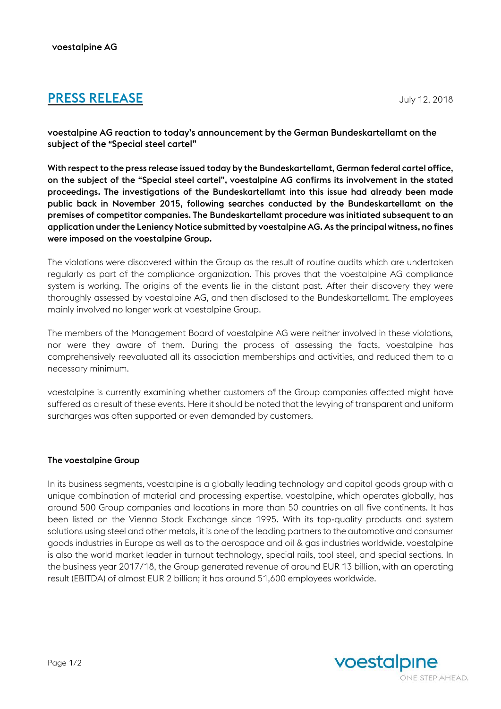## **PRESS RELEASE** July 12, 2018

voestalpine AG reaction to today's announcement by the German Bundeskartellamt on the subject of the "Special steel cartel"

With respect to the press release issued today by the Bundeskartellamt, German federal cartel office, on the subject of the "Special steel cartel", voestalpine AG confirms its involvement in the stated proceedings. The investigations of the Bundeskartellamt into this issue had already been made public back in November 2015, following searches conducted by the Bundeskartellamt on the premises of competitor companies. The Bundeskartellamt procedure was initiated subsequent to an application underthe Leniency Notice submitted by voestalpine AG. As the principal witness, no fines were imposed on the voestalpine Group.

The violations were discovered within the Group as the result of routine audits which are undertaken regularly as part of the compliance organization. This proves that the voestalpine AG compliance system is working. The origins of the events lie in the distant past. After their discovery they were thoroughly assessed by voestalpine AG, and then disclosed to the Bundeskartellamt. The employees mainly involved no longer work at voestalpine Group.

The members of the Management Board of voestalpine AG were neither involved in these violations, nor were they aware of them. During the process of assessing the facts, voestalpine has comprehensively reevaluated all its association memberships and activities, and reduced them to a necessary minimum.

voestalpine is currently examining whether customers of the Group companies affected might have suffered as a result of these events. Here it should be noted that the levying of transparent and uniform surcharges was often supported or even demanded by customers.

## The voestalpine Group

In its business segments, voestalpine is a globally leading technology and capital goods group with a unique combination of material and processing expertise. voestalpine, which operates globally, has around 500 Group companies and locations in more than 50 countries on all five continents. It has been listed on the Vienna Stock Exchange since 1995. With its top-quality products and system solutions using steel and other metals, it is one of the leading partners to the automotive and consumer goods industries in Europe as well as to the aerospace and oil & gas industries worldwide. voestalpine is also the world market leader in turnout technology, special rails, tool steel, and special sections. In the business year 2017/18, the Group generated revenue of around EUR 13 billion, with an operating result (EBITDA) of almost EUR 2 billion; it has around 51,600 employees worldwide.